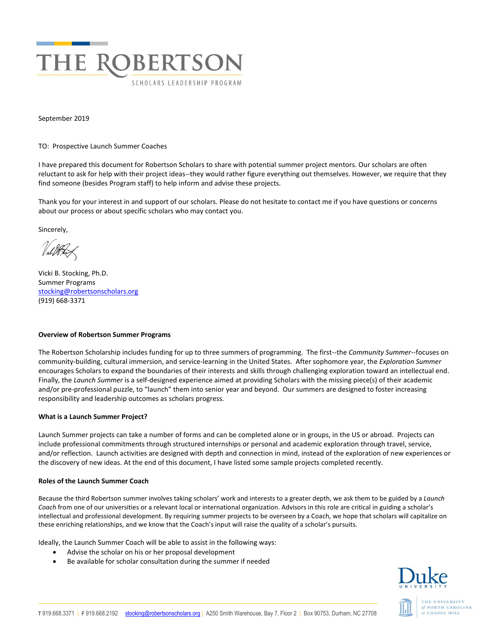

September 2019

TO: Prospective Launch Summer Coaches

I have prepared this document for Robertson Scholars to share with potential summer project mentors. Our scholars are often reluctant to ask for help with their project ideas--they would rather figure everything out themselves. However, we require that they find someone (besides Program staff) to help inform and advise these projects.

Thank you for your interest in and support of our scholars. Please do not hesitate to contact me if you have questions or concerns about our process or about specific scholars who may contact you.

Sincerely,

 $114$ 

Vicki B. Stocking, Ph.D. Summer Programs [stocking@robertsonscholars.org](mailto:stocking@robertsonscholars.org) (919) 668-3371

## **Overview of Robertson Summer Programs**

The Robertson Scholarship includes funding for up to three summers of programming. The first--the *Community Summer*--focuses on community-building, cultural immersion, and service-learning in the United States. After sophomore year, the *Exploration Summer* encourages Scholars to expand the boundaries of their interests and skills through challenging exploration toward an intellectual end. Finally, the *Launch Summer* is a self-designed experience aimed at providing Scholars with the missing piece(s) of their academic and/or pre-professional puzzle, to "launch" them into senior year and beyond. Our summers are designed to foster increasing responsibility and leadership outcomes as scholars progress.

## **What is a Launch Summer Project?**

Launch Summer projects can take a number of forms and can be completed alone or in groups, in the US or abroad. Projects can include professional commitments through structured internships or personal and academic exploration through travel, service, and/or reflection. Launch activities are designed with depth and connection in mind, instead of the exploration of new experiences or the discovery of new ideas. At the end of this document, I have listed some sample projects completed recently.

## **Roles of the Launch Summer Coach**

Because the third Robertson summer involves taking scholars' work and interests to a greater depth, we ask them to be guided by a *Launch Coach* from one of our universities or a relevant local or international organization. Advisors in this role are critical in guiding a scholar's intellectual and professional development. By requiring summer projects to be overseen by a Coach, we hope that scholars will capitalize on these enriching relationships, and we know that the Coach's input will raise the quality of a scholar's pursuits.

Ideally, the Launch Summer Coach will be able to assist in the following ways:

- Advise the scholar on his or her proposal development
- Be available for scholar consultation during the summer if needed